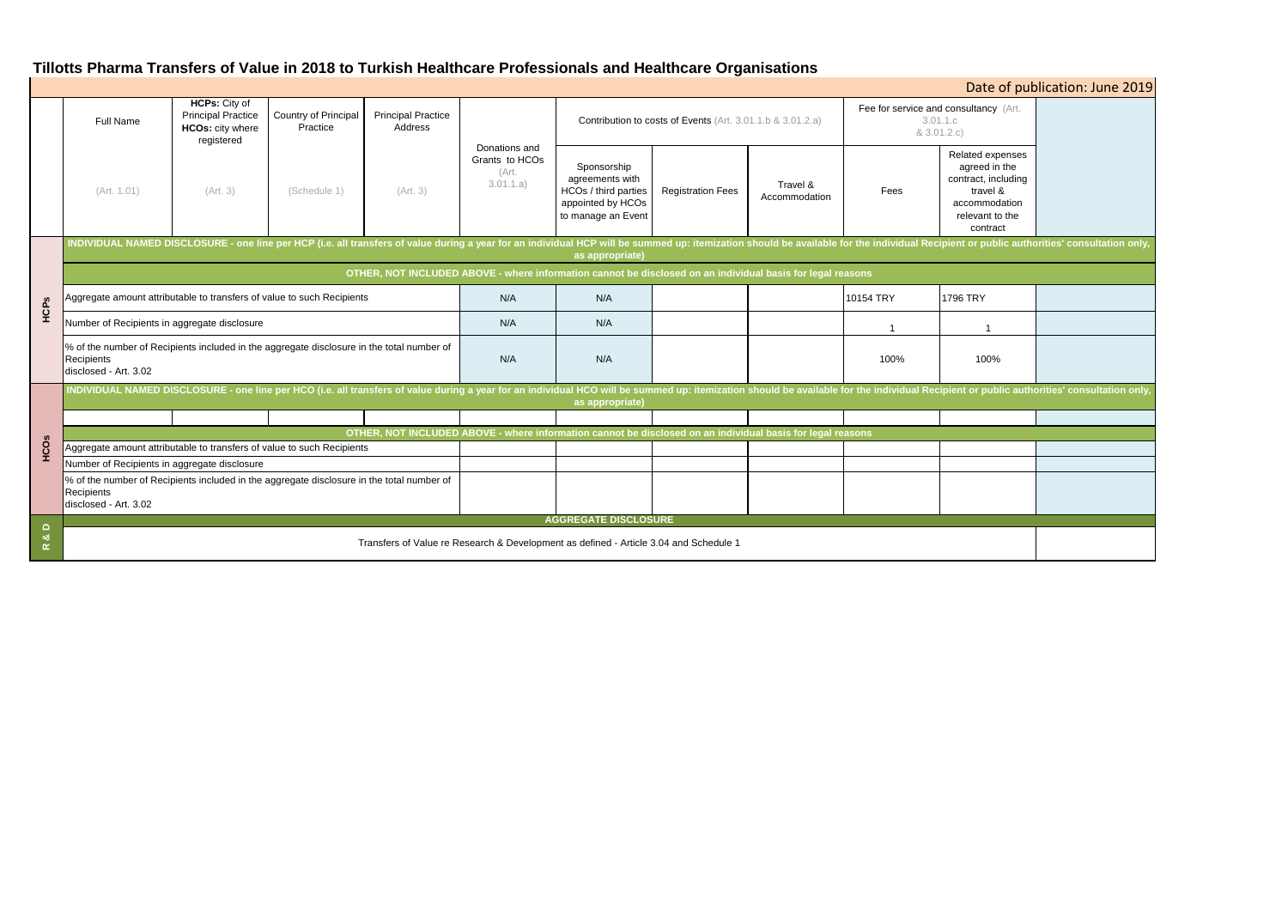# **Tillotts Pharma Transfers of Value in 2018 to Turkish Healthcare Professionals and Healthcare Organisations**

| Date of publication: June 2019 |                                                                                                                                                                                                                                                   |          |                                  |                                      |                                                       |                                                                                                   |                          |                           |                                                                  |                                                                                                                      |  |
|--------------------------------|---------------------------------------------------------------------------------------------------------------------------------------------------------------------------------------------------------------------------------------------------|----------|----------------------------------|--------------------------------------|-------------------------------------------------------|---------------------------------------------------------------------------------------------------|--------------------------|---------------------------|------------------------------------------------------------------|----------------------------------------------------------------------------------------------------------------------|--|
|                                | HCPs: City of<br><b>Principal Practice</b><br><b>Full Name</b><br><b>HCOs: city where</b><br>registered                                                                                                                                           |          | Country of Principal<br>Practice | <b>Principal Practice</b><br>Address |                                                       | Contribution to costs of Events (Art. 3.01.1.b & 3.01.2.a)                                        |                          |                           | Fee for service and consultancy (Art.<br>3.01.1.c<br>& 3.01.2.c) |                                                                                                                      |  |
|                                | (Art. 1.01)                                                                                                                                                                                                                                       | (Art. 3) | (Schedule 1)                     | (Art. 3)                             | Donations and<br>Grants to HCOs<br>(Art.<br>3.01.1.a) | Sponsorship<br>agreements with<br>HCOs / third parties<br>appointed by HCOs<br>to manage an Event | <b>Registration Fees</b> | Travel &<br>Accommodation | Fees                                                             | Related expenses<br>agreed in the<br>contract, including<br>travel &<br>accommodation<br>relevant to the<br>contract |  |
| HCPs                           | INDIVIDUAL NAMED DISCLOSURE - one line per HCP (i.e. all transfers of value during a year for an individual HCP will be summed up: itemization should be available for the individual Recipient or public authorities' consult<br>as appropriate) |          |                                  |                                      |                                                       |                                                                                                   |                          |                           |                                                                  |                                                                                                                      |  |
|                                | OTHER, NOT INCLUDED ABOVE - where information cannot be disclosed on an individual basis for legal reasons                                                                                                                                        |          |                                  |                                      |                                                       |                                                                                                   |                          |                           |                                                                  |                                                                                                                      |  |
|                                | Aggregate amount attributable to transfers of value to such Recipients                                                                                                                                                                            |          |                                  |                                      | N/A                                                   | N/A                                                                                               |                          |                           | 10154 TRY                                                        | 1796 TRY                                                                                                             |  |
|                                | Number of Recipients in aggregate disclosure                                                                                                                                                                                                      |          |                                  |                                      | N/A                                                   | N/A                                                                                               |                          |                           | $\mathbf 1$                                                      | -1                                                                                                                   |  |
|                                | % of the number of Recipients included in the aggregate disclosure in the total number of<br>Recipients<br>disclosed - Art. 3.02                                                                                                                  |          |                                  |                                      | N/A                                                   | N/A                                                                                               |                          |                           | 100%                                                             | 100%                                                                                                                 |  |
|                                | INDIVIDUAL NAMED DISCLOSURE - one line per HCO (i.e. all transfers of value during a year for an individual HCO will be summed up: itemization should be available for the individual Recipient or public authorities' consult<br>as appropriate) |          |                                  |                                      |                                                       |                                                                                                   |                          |                           |                                                                  |                                                                                                                      |  |
|                                |                                                                                                                                                                                                                                                   |          |                                  |                                      |                                                       |                                                                                                   |                          |                           |                                                                  |                                                                                                                      |  |
| HCOs                           | OTHER, NOT INCLUDED ABOVE - where information cannot be disclosed on an individual basis for legal reasons                                                                                                                                        |          |                                  |                                      |                                                       |                                                                                                   |                          |                           |                                                                  |                                                                                                                      |  |
|                                | Aggregate amount attributable to transfers of value to such Recipients                                                                                                                                                                            |          |                                  |                                      |                                                       |                                                                                                   |                          |                           |                                                                  |                                                                                                                      |  |
|                                | Number of Recipients in aggregate disclosure                                                                                                                                                                                                      |          |                                  |                                      |                                                       |                                                                                                   |                          |                           |                                                                  |                                                                                                                      |  |
|                                | % of the number of Recipients included in the aggregate disclosure in the total number of<br>Recipients<br>disclosed - Art. 3.02                                                                                                                  |          |                                  |                                      |                                                       |                                                                                                   |                          |                           |                                                                  |                                                                                                                      |  |
| $\Omega$<br>ಂಶ<br>$\propto$    | <b>AGGREGATE DISCLOSURE</b>                                                                                                                                                                                                                       |          |                                  |                                      |                                                       |                                                                                                   |                          |                           |                                                                  |                                                                                                                      |  |
|                                | Transfers of Value re Research & Development as defined - Article 3.04 and Schedule 1                                                                                                                                                             |          |                                  |                                      |                                                       |                                                                                                   |                          |                           |                                                                  |                                                                                                                      |  |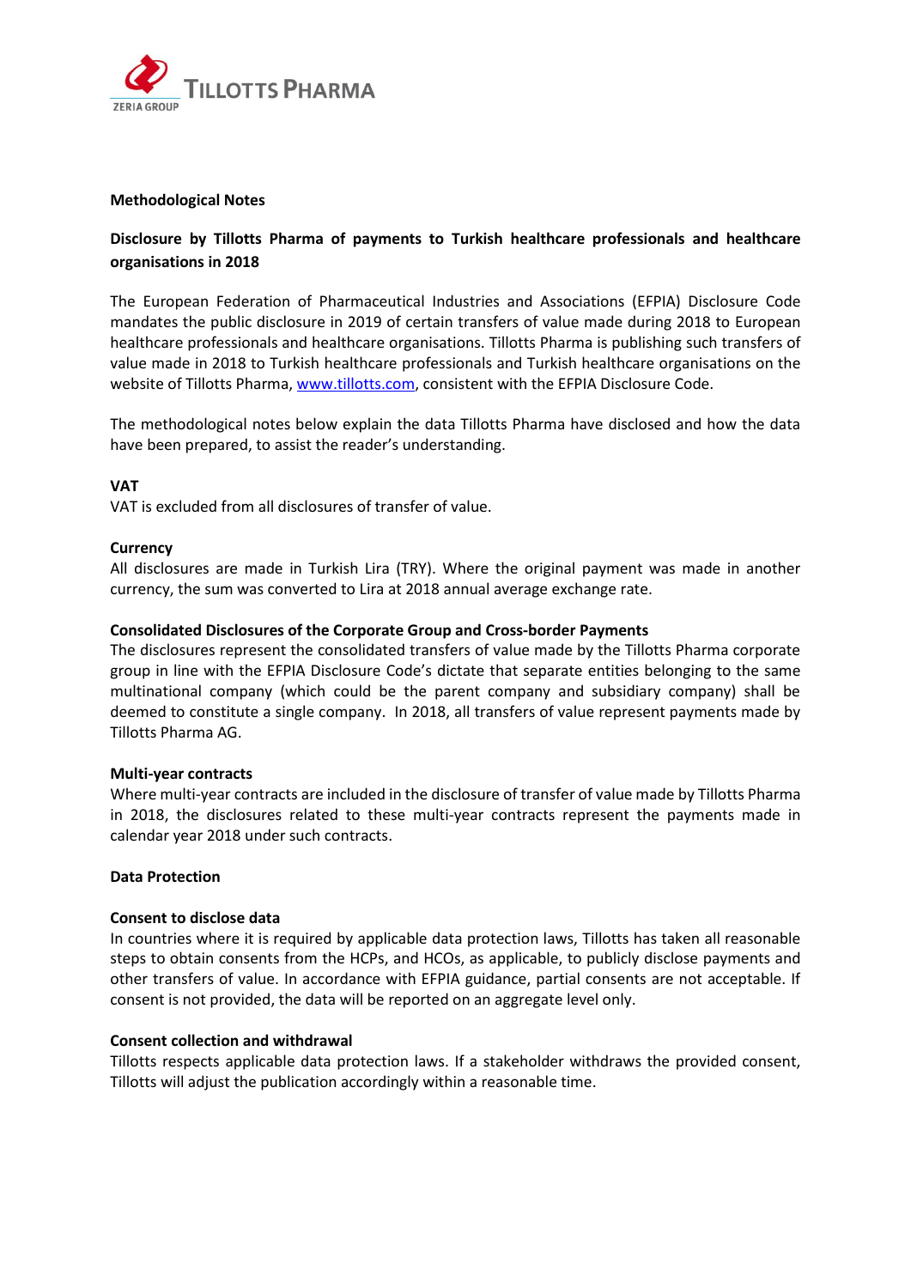

## **Methodological Notes**

## **Disclosure by Tillotts Pharma of payments to Turkish healthcare professionals and healthcare organisations in 2018**

The European Federation of Pharmaceutical Industries and Associations (EFPIA) Disclosure Code mandates the public disclosure in 2019 of certain transfers of value made during 2018 to European healthcare professionals and healthcare organisations. Tillotts Pharma is publishing such transfers of value made in 2018 to Turkish healthcare professionals and Turkish healthcare organisations on the website of Tillotts Pharma, www.tillotts.com, consistent with the EFPIA Disclosure Code.

The methodological notes below explain the data Tillotts Pharma have disclosed and how the data have been prepared, to assist the reader's understanding.

## **VAT**

VAT is excluded from all disclosures of transfer of value.

#### **Currency**

All disclosures are made in Turkish Lira (TRY). Where the original payment was made in another currency, the sum was converted to Lira at 2018 annual average exchange rate.

#### **Consolidated Disclosures of the Corporate Group and Cross-border Payments**

The disclosures represent the consolidated transfers of value made by the Tillotts Pharma corporate group in line with the EFPIA Disclosure Code's dictate that separate entities belonging to the same multinational company (which could be the parent company and subsidiary company) shall be deemed to constitute a single company. In 2018, all transfers of value represent payments made by Tillotts Pharma AG.

#### **Multi-year contracts**

Where multi-year contracts are included in the disclosure of transfer of value made by Tillotts Pharma in 2018, the disclosures related to these multi-year contracts represent the payments made in calendar year 2018 under such contracts.

#### **Data Protection**

#### **Consent to disclose data**

In countries where it is required by applicable data protection laws, Tillotts has taken all reasonable steps to obtain consents from the HCPs, and HCOs, as applicable, to publicly disclose payments and other transfers of value. In accordance with EFPIA guidance, partial consents are not acceptable. If consent is not provided, the data will be reported on an aggregate level only.

#### **Consent collection and withdrawal**

Tillotts respects applicable data protection laws. If a stakeholder withdraws the provided consent, Tillotts will adjust the publication accordingly within a reasonable time.